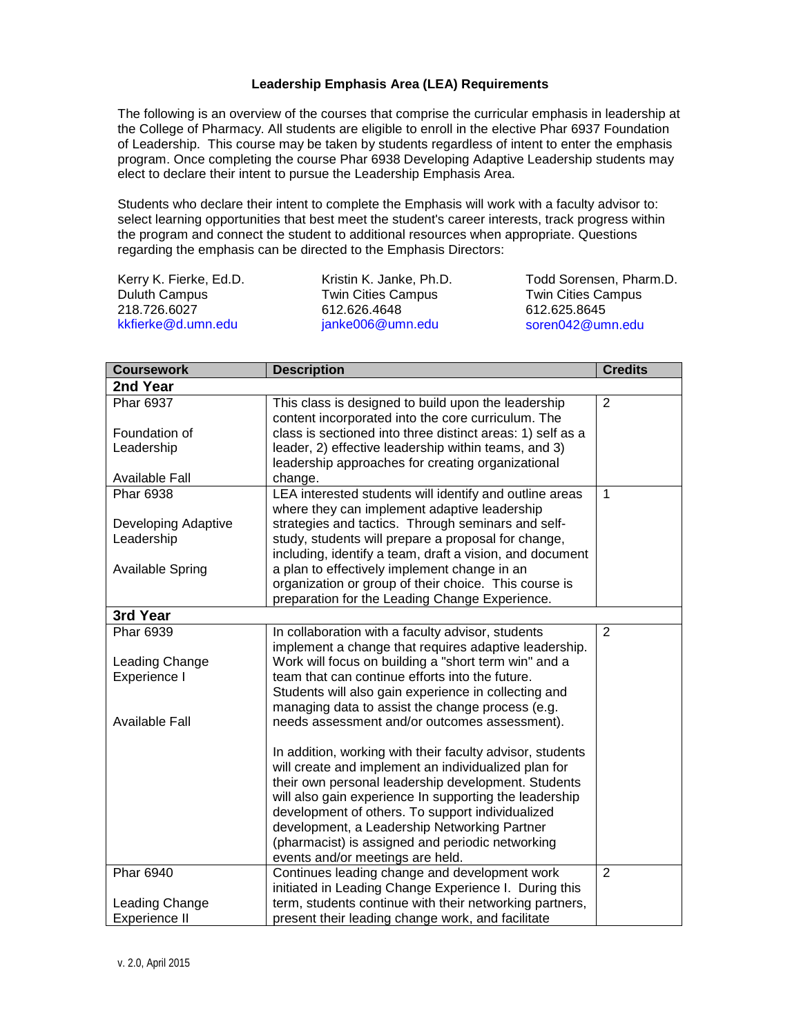## **Leadership Emphasis Area (LEA) Requirements**

The following is an overview of the courses that comprise the curricular emphasis in leadership at the College of Pharmacy. All students are eligible to enroll in the elective Phar 6937 Foundation of Leadership. This course may be taken by students regardless of intent to enter the emphasis program. Once completing the course Phar 6938 Developing Adaptive Leadership students may elect to declare their intent to pursue the Leadership Emphasis Area.

Students who declare their intent to complete the Emphasis will work with a faculty advisor to: select learning opportunities that best meet the student's career interests, track progress within the program and connect the student to additional resources when appropriate. Questions regarding the emphasis can be directed to the Emphasis Directors:

Kerry K. Fierke, Ed.D. Duluth Campus 218.726.6027 kkfierke@d.umn.edu

Kristin K. Janke, Ph.D. Twin Cities Campus 612.626.4648 janke006@umn.edu

Todd Sorensen, Pharm.D. Twin Cities Campus 612.625.8645 soren042@umn.edu

| <b>Coursework</b>       | <b>Description</b>                                                                                        | <b>Credits</b> |  |
|-------------------------|-----------------------------------------------------------------------------------------------------------|----------------|--|
| 2nd Year                |                                                                                                           |                |  |
| Phar 6937               | This class is designed to build upon the leadership<br>content incorporated into the core curriculum. The | $\overline{2}$ |  |
| Foundation of           | class is sectioned into three distinct areas: 1) self as a                                                |                |  |
| Leadership              | leader, 2) effective leadership within teams, and 3)<br>leadership approaches for creating organizational |                |  |
| <b>Available Fall</b>   | change.                                                                                                   |                |  |
| <b>Phar 6938</b>        | LEA interested students will identify and outline areas<br>where they can implement adaptive leadership   | $\mathbf{1}$   |  |
| Developing Adaptive     | strategies and tactics. Through seminars and self-                                                        |                |  |
| Leadership              | study, students will prepare a proposal for change,                                                       |                |  |
|                         | including, identify a team, draft a vision, and document                                                  |                |  |
| <b>Available Spring</b> | a plan to effectively implement change in an<br>organization or group of their choice. This course is     |                |  |
|                         | preparation for the Leading Change Experience.                                                            |                |  |
| 3rd Year                |                                                                                                           |                |  |
| <b>Phar 6939</b>        | In collaboration with a faculty advisor, students                                                         | 2              |  |
|                         | implement a change that requires adaptive leadership.                                                     |                |  |
| Leading Change          | Work will focus on building a "short term win" and a                                                      |                |  |
| Experience I            | team that can continue efforts into the future.                                                           |                |  |
|                         | Students will also gain experience in collecting and                                                      |                |  |
|                         | managing data to assist the change process (e.g.                                                          |                |  |
| <b>Available Fall</b>   | needs assessment and/or outcomes assessment).                                                             |                |  |
|                         | In addition, working with their faculty advisor, students                                                 |                |  |
|                         | will create and implement an individualized plan for                                                      |                |  |
|                         | their own personal leadership development. Students                                                       |                |  |
|                         | will also gain experience In supporting the leadership                                                    |                |  |
|                         | development of others. To support individualized                                                          |                |  |
|                         | development, a Leadership Networking Partner<br>(pharmacist) is assigned and periodic networking          |                |  |
|                         | events and/or meetings are held.                                                                          |                |  |
| Phar 6940               | Continues leading change and development work                                                             | $\overline{2}$ |  |
|                         | initiated in Leading Change Experience I. During this                                                     |                |  |
| Leading Change          | term, students continue with their networking partners,                                                   |                |  |
| <b>Experience II</b>    | present their leading change work, and facilitate                                                         |                |  |